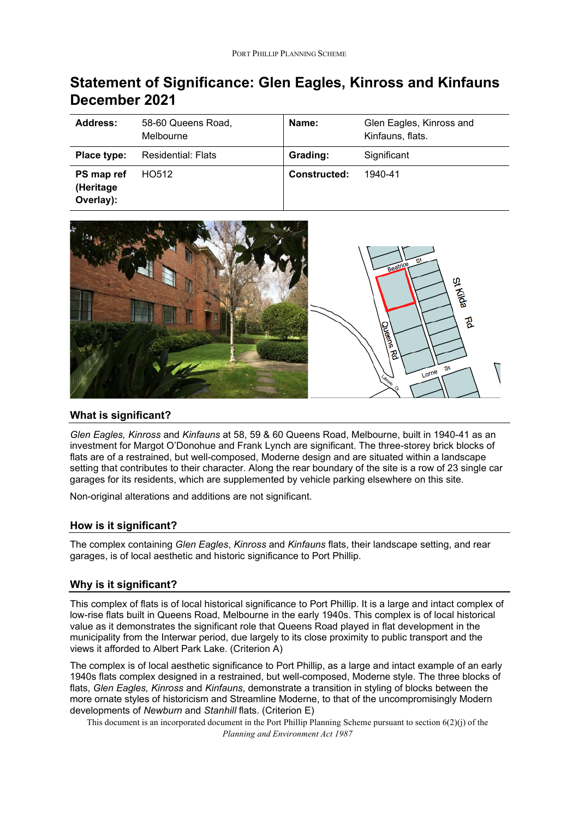# **Statement of Significance: Glen Eagles, Kinross and Kinfauns December 2021**

| Address:                             | 58-60 Queens Road,<br>Melbourne | Name:               | Glen Eagles, Kinross and<br>Kinfauns, flats. |
|--------------------------------------|---------------------------------|---------------------|----------------------------------------------|
| Place type:                          | Residential: Flats              | Grading:            | Significant                                  |
| PS map ref<br>(Heritage<br>Overlay): | HO512                           | <b>Constructed:</b> | 1940-41                                      |



### **What is significant?**

*Glen Eagles, Kinross* and *Kinfauns* at 58, 59 & 60 Queens Road, Melbourne, built in 1940-41 as an investment for Margot O'Donohue and Frank Lynch are significant. The three-storey brick blocks of flats are of a restrained, but well-composed, Moderne design and are situated within a landscape setting that contributes to their character. Along the rear boundary of the site is a row of 23 single car garages for its residents, which are supplemented by vehicle parking elsewhere on this site.

Non-original alterations and additions are not significant.

# **How is it significant?**

The complex containing *Glen Eagles*, *Kinross* and *Kinfauns* flats, their landscape setting, and rear garages, is of local aesthetic and historic significance to Port Phillip.

# **Why is it significant?**

This complex of flats is of local historical significance to Port Phillip. It is a large and intact complex of low-rise flats built in Queens Road, Melbourne in the early 1940s. This complex is of local historical value as it demonstrates the significant role that Queens Road played in flat development in the municipality from the Interwar period, due largely to its close proximity to public transport and the views it afforded to Albert Park Lake. (Criterion A)

The complex is of local aesthetic significance to Port Phillip, as a large and intact example of an early 1940s flats complex designed in a restrained, but well-composed, Moderne style. The three blocks of flats, *Glen Eagles, Kinross* and *Kinfauns*, demonstrate a transition in styling of blocks between the more ornate styles of historicism and Streamline Moderne, to that of the uncompromisingly Modern developments of *Newburn* and *Stanhill* flats. (Criterion E)

This document is an incorporated document in the Port Phillip Planning Scheme pursuant to section 6(2)(j) of the *Planning and Environment Act 1987*